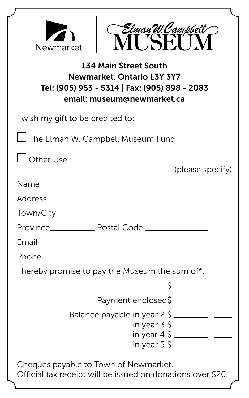| Elman W. Campbell<br>Newmarket                                                                                                            |
|-------------------------------------------------------------------------------------------------------------------------------------------|
| <b>134 Main Street South</b><br>Newmarket, Ontario L3Y 3Y7<br>Tel: (905) 953 - 5314   Fax: (905) 898 - 2083<br>email: museum@newmarket.ca |
| I wish my gift to be credited to:                                                                                                         |
| $\Box$ The Elman W. Campbell Museum Fund                                                                                                  |
| (please specify)                                                                                                                          |
|                                                                                                                                           |
|                                                                                                                                           |
|                                                                                                                                           |
|                                                                                                                                           |
|                                                                                                                                           |
| Phone _____________________                                                                                                               |
| I hereby promise to pay the Museum the sum of*:                                                                                           |
|                                                                                                                                           |
| Payment enclosed\$ _____________. ______                                                                                                  |
| Balance payable in year 2 \$ _________. _____                                                                                             |
| in year $3\text{ }5$ ______________. _______                                                                                              |
|                                                                                                                                           |
| Cheques payable to Town of Newmarket.<br>Official tax receipt will be issued on donations over \$20.                                      |